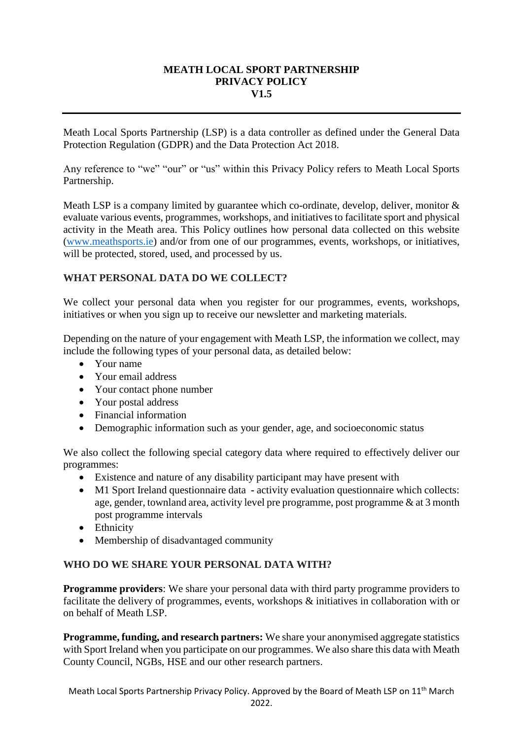#### **MEATH LOCAL SPORT PARTNERSHIP PRIVACY POLICY V1.5**

Meath Local Sports Partnership (LSP) is a data controller as defined under the General Data Protection Regulation (GDPR) and the Data Protection Act 2018.

Any reference to "we" "our" or "us" within this Privacy Policy refers to Meath Local Sports Partnership.

Meath LSP is a company limited by guarantee which co-ordinate, develop, deliver, monitor  $\&$ evaluate various events, programmes, workshops, and initiatives to facilitate sport and physical activity in the Meath area. This Policy outlines how personal data collected on this website [\(www.meathsports.ie\)](http://www.meathsports.ie/) and/or from one of our programmes, events, workshops, or initiatives, will be protected, stored, used, and processed by us.

# **WHAT PERSONAL DATA DO WE COLLECT?**

We collect your personal data when you register for our programmes, events, workshops, initiatives or when you sign up to receive our newsletter and marketing materials.

Depending on the nature of your engagement with Meath LSP, the information we collect, may include the following types of your personal data, as detailed below:

- Your name
- Your email address
- Your contact phone number
- Your postal address
- Financial information
- Demographic information such as your gender, age, and socioeconomic status

We also collect the following special category data where required to effectively deliver our programmes:

- Existence and nature of any disability participant may have present with
- M1 Sport Ireland questionnaire data **-** activity evaluation questionnaire which collects: age, gender, townland area, activity level pre programme, post programme & at 3 month post programme intervals
- Ethnicity
- Membership of disadvantaged community

#### **WHO DO WE SHARE YOUR PERSONAL DATA WITH?**

**Programme providers**: We share your personal data with third party programme providers to facilitate the delivery of programmes, events, workshops & initiatives in collaboration with or on behalf of Meath LSP.

**Programme, funding, and research partners:** We share your anonymised aggregate statistics with Sport Ireland when you participate on our programmes. We also share this data with Meath County Council, NGBs, HSE and our other research partners.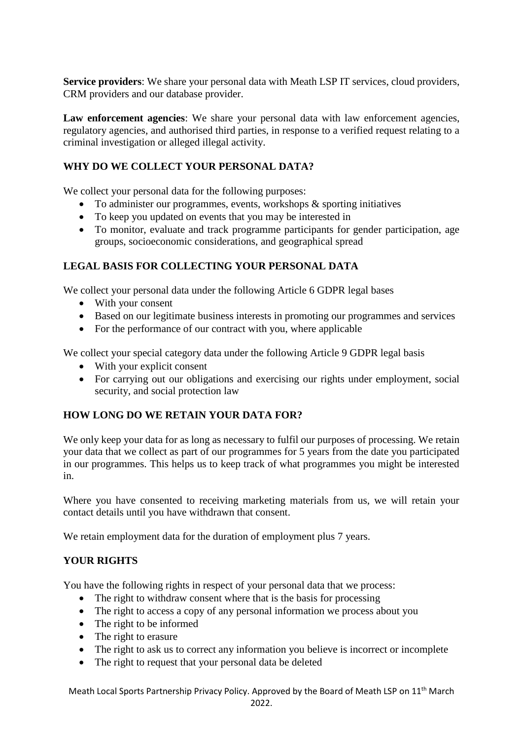**Service providers**: We share your personal data with Meath LSP IT services, cloud providers, CRM providers and our database provider.

**Law enforcement agencies**: We share your personal data with law enforcement agencies, regulatory agencies, and authorised third parties, in response to a verified request relating to a criminal investigation or alleged illegal activity.

# **WHY DO WE COLLECT YOUR PERSONAL DATA?**

We collect your personal data for the following purposes:

- To administer our programmes, events, workshops & sporting initiatives
- To keep you updated on events that you may be interested in
- To monitor, evaluate and track programme participants for gender participation, age groups, socioeconomic considerations, and geographical spread

# **LEGAL BASIS FOR COLLECTING YOUR PERSONAL DATA**

We collect your personal data under the following Article 6 GDPR legal bases

- With your consent
- Based on our legitimate business interests in promoting our programmes and services
- For the performance of our contract with you, where applicable

We collect your special category data under the following Article 9 GDPR legal basis

- With your explicit consent
- For carrying out our obligations and exercising our rights under employment, social security, and social protection law

# **HOW LONG DO WE RETAIN YOUR DATA FOR?**

We only keep your data for as long as necessary to fulfil our purposes of processing. We retain your data that we collect as part of our programmes for 5 years from the date you participated in our programmes. This helps us to keep track of what programmes you might be interested in.

Where you have consented to receiving marketing materials from us, we will retain your contact details until you have withdrawn that consent.

We retain employment data for the duration of employment plus 7 years.

# **YOUR RIGHTS**

You have the following rights in respect of your personal data that we process:

- The right to withdraw consent where that is the basis for processing
- The right to access a copy of any personal information we process about you
- The right to be informed
- The right to erasure
- The right to ask us to correct any information you believe is incorrect or incomplete
- The right to request that your personal data be deleted

Meath Local Sports Partnership Privacy Policy. Approved by the Board of Meath LSP on 11th March 2022.